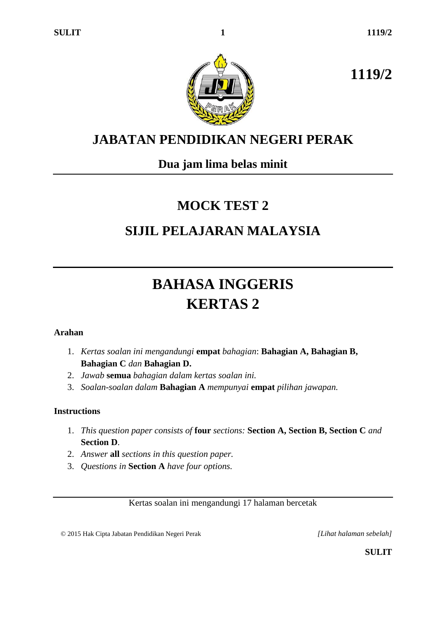**1119/2**



# **JABATAN PENDIDIKAN NEGERI PERAK**

# **Dua jam lima belas minit**

# **MOCK TEST 2**

# **SIJIL PELAJARAN MALAYSIA**

# **BAHASA INGGERIS KERTAS 2**

# **Arahan**

- 1. *Kertas soalan ini mengandungi* **empat** *bahagian*: **Bahagian A, Bahagian B, Bahagian C** *dan* **Bahagian D.**
- 2. *Jawab* **semua** *bahagian dalam kertas soalan ini.*
- 3. *Soalan-soalan dalam* **Bahagian A** *mempunyai* **empat** *pilihan jawapan.*

# **Instructions**

- 1. *This question paper consists of* **four** *sections:* **Section A, Section B, Section C** *and*  **Section D**.
- 2. *Answer* **all** *sections in this question paper.*
- 3. *Questions in* **Section A** *have four options.*

Kertas soalan ini mengandungi 17 halaman bercetak

© 2015 Hak Cipta Jabatan Pendidikan Negeri Perak *[Lihat halaman sebelah]*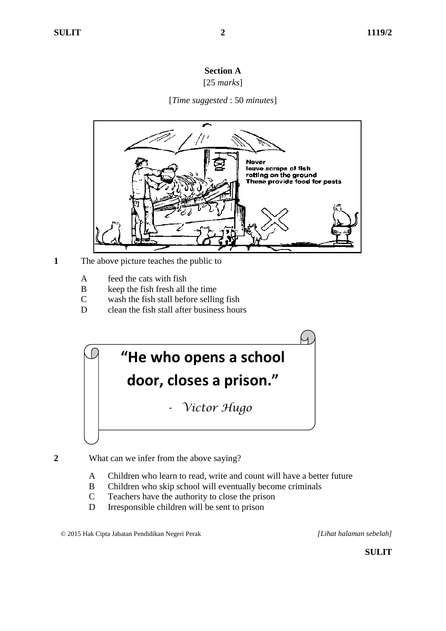# **Section A**

[25 *marks*]

[*Time suggested* : 50 *minutes*]



- **1** The above picture teaches the public to
	- A feed the cats with fish
	- B keep the fish fresh all the time
	- C wash the fish stall before selling fish
	- D clean the fish stall after business hours

# **"He who opens a school door, closes a prison."**

*- Victor Hugo*

**2** What can we infer from the above saying?

- A Children who learn to read, write and count will have a better future
- B Children who skip school will eventually become criminals
- C Teachers have the authority to close the prison
- D Irresponsible children will be sent to prison

© 2015 Hak Cipta Jabatan Pendidikan Negeri Perak *[Lihat halaman sebelah]*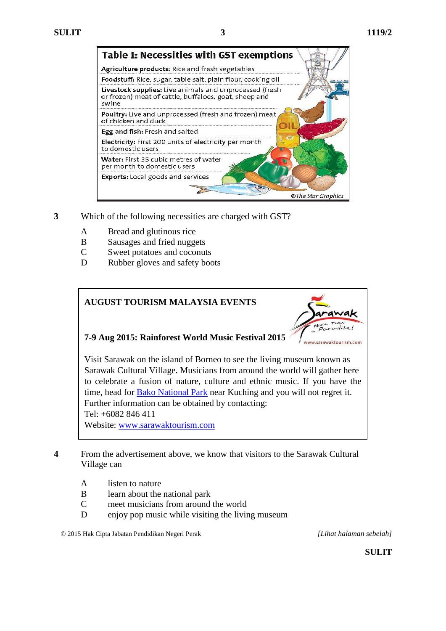

- **3** Which of the following necessities are charged with GST?
	- A Bread and glutinous rice
	- B Sausages and fried nuggets
	- C Sweet potatoes and coconuts
	- D Rubber gloves and safety boots

### **AUGUST TOURISM MALAYSIA EVENTS**



#### **7-9 Aug 2015: Rainforest World Music Festival 2015**

Visit Sarawak on the island of Borneo to see the living museum known as Sarawak Cultural Village. Musicians from around the world will gather here to celebrate a fusion of nature, culture and ethnic music. If you have the time, head for [Bako National Park](http://www.malaysiavacationguide.com/bako-national-park.html) near Kuching and you will not regret it. Further information can be obtained by contacting: Tel: +6082 846 411 Website: [www.sarawaktourism.com](http://www.sarawaktourism.com/)

### **4** From the advertisement above, we know that visitors to the Sarawak Cultural Village can

- A listen to nature
- B learn about the national park
- C meet musicians from around the world
- D enjoy pop music while visiting the living museum

© 2015 Hak Cipta Jabatan Pendidikan Negeri Perak *[Lihat halaman sebelah]*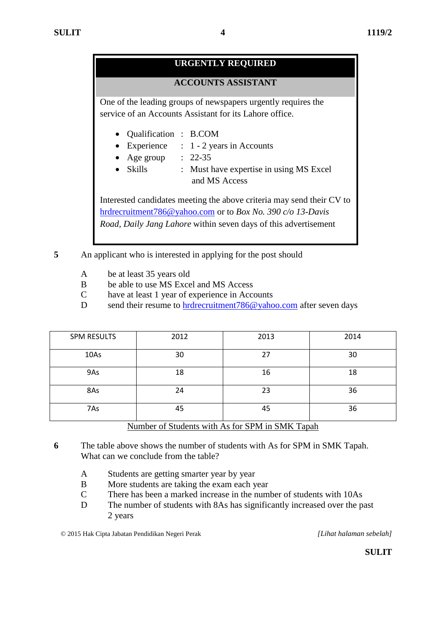# **URGENTLY REQUIRED**

### **ACCOUNTS ASSISTANT**

One of the leading groups of newspapers urgently requires the service of an Accounts Assistant for its Lahore office.

- Oualification : B.COM
- Experience :  $1 2$  years in Accounts
- Age group :  $22-35$
- Skills : Must have expertise in using MS Excel and MS Access

Interested candidates meeting the above criteria may send their CV to [hrdrecruitment786@yahoo.com](mailto:hrdrecruitment786@yahoo.com) or to *Box No. 390 c/o 13-Davis Road, Daily Jang Lahore* within seven days of this advertisement

**5** An applicant who is interested in applying for the post should

- A be at least 35 years old
- B be able to use MS Excel and MS Access
- C have at least 1 year of experience in Accounts
- D send their resume to [hrdrecruitment786@yahoo.com](mailto:hrdrecruitment786@yahoo.com) after seven days

| <b>SPM RESULTS</b> | 2012                                                                                                                                                               | 2013 | 2014 |
|--------------------|--------------------------------------------------------------------------------------------------------------------------------------------------------------------|------|------|
| 10As               | 30                                                                                                                                                                 | 27   | 30   |
| 9As                | 18                                                                                                                                                                 | 16   | 18   |
| 8As                | 24                                                                                                                                                                 | 23   | 36   |
| 7As                | 45                                                                                                                                                                 | 45   | 36   |
|                    | Meantle $\alpha$ of $\mathcal{O}_{\text{free}}$ denotes exists $A = \mathcal{O}_{\text{free}}$ and $\mathcal{O}_{\text{D}}$ and $\alpha$ and $\alpha$ and $\alpha$ |      |      |

Number of Students with As for SPM in SMK Tapah

**6** The table above shows the number of students with As for SPM in SMK Tapah. What can we conclude from the table?

- A Students are getting smarter year by year
- B More students are taking the exam each year
- C There has been a marked increase in the number of students with 10As
- D The number of students with 8As has significantly increased over the past 2 years

© 2015 Hak Cipta Jabatan Pendidikan Negeri Perak *[Lihat halaman sebelah]*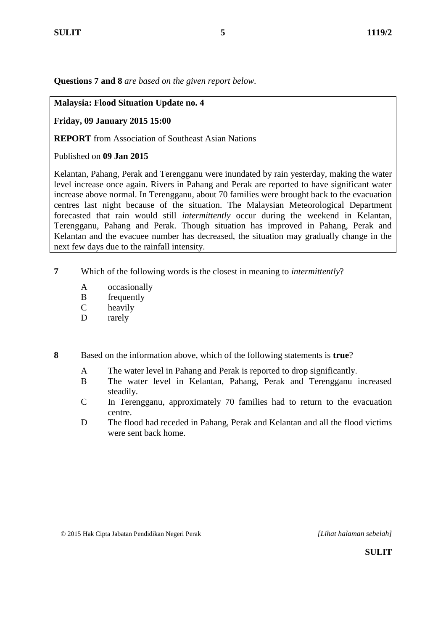**Questions 7 and 8** *are based on the given report below.*

#### **Malaysia: Flood Situation Update no. 4**

**Friday, 09 January 2015 15:00**

**REPORT** from Association of Southeast Asian Nations

Published on **09 Jan 2015**

Kelantan, Pahang, Perak and Terengganu were inundated by rain yesterday, making the water level increase once again. Rivers in Pahang and Perak are reported to have significant water increase above normal. In Terengganu, about 70 families were brought back to the evacuation centres last night because of the situation. The Malaysian Meteorological Department forecasted that rain would still *intermittently* occur during the weekend in Kelantan, Terengganu, Pahang and Perak. Though situation has improved in Pahang, Perak and Kelantan and the evacuee number has decreased, the situation may gradually change in the next few days due to the rainfall intensity.

- **7** Which of the following words is the closest in meaning to *intermittently*?
	- A occasionally
	- B frequently
	- C heavily
	- D rarely

**8** Based on the information above, which of the following statements is **true**?

- A The water level in Pahang and Perak is reported to drop significantly.
- B The water level in Kelantan, Pahang, Perak and Terengganu increased steadily.
- C In Terengganu, approximately 70 families had to return to the evacuation centre.
- D The flood had receded in Pahang, Perak and Kelantan and all the flood victims were sent back home.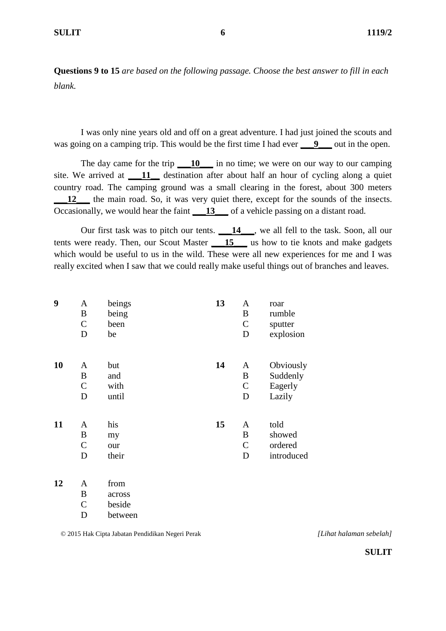**Questions 9 to 15** *are based on the following passage. Choose the best answer to fill in each blank.*

I was only nine years old and off on a great adventure. I had just joined the scouts and was going on a camping trip. This would be the first time I had ever **\_\_\_9\_\_\_** out in the open.

The day came for the trip 10<sub>\_</sub> in no time; we were on our way to our camping site. We arrived at **\_\_\_11\_\_** destination after about half an hour of cycling along a quiet country road. The camping ground was a small clearing in the forest, about 300 meters **12\_** the main road. So, it was very quiet there, except for the sounds of the insects. Occasionally, we would hear the faint **\_\_\_13\_\_\_** of a vehicle passing on a distant road.

 Our first task was to pitch our tents. **\_\_\_14\_\_\_**, we all fell to the task. Soon, all our tents were ready. Then, our Scout Master **\_\_\_15\_\_\_** us how to tie knots and make gadgets which would be useful to us in the wild. These were all new experiences for me and I was really excited when I saw that we could really make useful things out of branches and leaves.

| 9  | A             | beings  | 13 | A             | roar       |
|----|---------------|---------|----|---------------|------------|
|    | B             | being   |    | B             | rumble     |
|    | $\mathcal{C}$ | been    |    | $\mathcal{C}$ | sputter    |
|    | D             | be      |    | D             | explosion  |
| 10 | A             | but     | 14 | A             | Obviously  |
|    | B             | and     |    | $\bf{B}$      | Suddenly   |
|    | $\mathcal{C}$ | with    |    | $\mathsf{C}$  | Eagerly    |
|    | D             | until   |    | D             | Lazily     |
| 11 | A             | his     | 15 | A             | told       |
|    | B             | my      |    | $\bf{B}$      | showed     |
|    | $\mathcal{C}$ | our     |    | $\mathcal{C}$ | ordered    |
|    | D             | their   |    | D             | introduced |
| 12 | A             | from    |    |               |            |
|    | B             | across  |    |               |            |
|    | $\mathcal{C}$ | beside  |    |               |            |
|    | D             | between |    |               |            |

© 2015 Hak Cipta Jabatan Pendidikan Negeri Perak *[Lihat halaman sebelah]*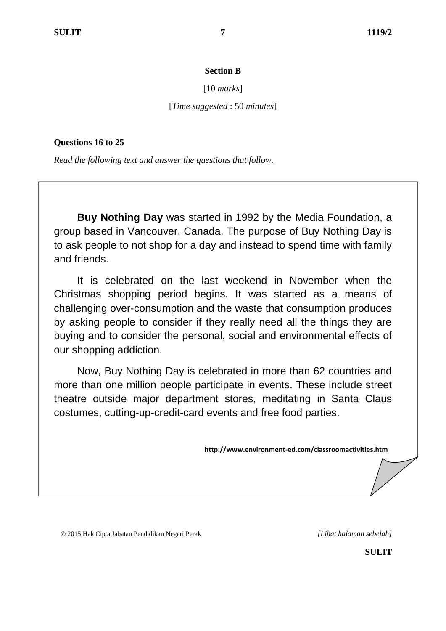# **Section B**

# [10 *marks*]

[*Time suggested* : 50 *minutes*]

**Questions 16 to 25**

*Read the following text and answer the questions that follow.*

 **Buy Nothing Day** was started in 1992 by the Media Foundation, a group based in Vancouver, Canada. The purpose of Buy Nothing Day is to ask people to not shop for a day and instead to spend time with family and friends.

 It is celebrated on the last weekend in November when the Christmas shopping period begins. It was started as a means of challenging over-consumption and the waste that consumption produces by asking people to consider if they really need all the things they are buying and to consider the personal, social and environmental effects of our shopping addiction.

 Now, Buy Nothing Day is celebrated in more than 62 countries and more than one million people participate in events. These include street theatre outside major department stores, meditating in Santa Claus costumes, cutting-up-credit-card events and free food parties.

 **http://www.environment-ed.com/classroomactivities.htm**

© 2015 Hak Cipta Jabatan Pendidikan Negeri Perak *[Lihat halaman sebelah]*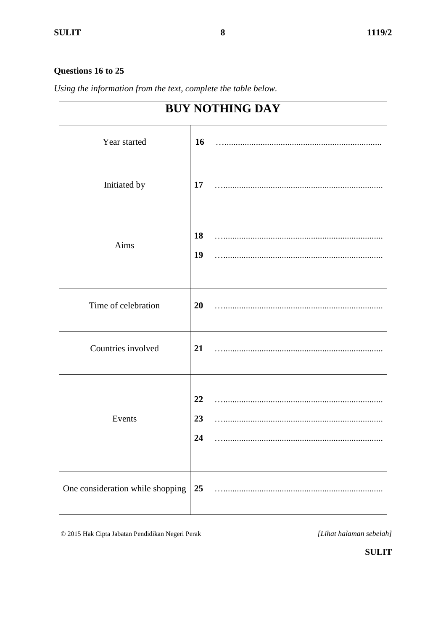# Questions 16 to 25

Using the information from the text, complete the table below.

| <b>BUY NOTHING DAY</b>           |                |  |  |
|----------------------------------|----------------|--|--|
| Year started                     | <b>16</b>      |  |  |
| Initiated by                     | 17             |  |  |
| Aims                             | 18<br>19       |  |  |
| Time of celebration              | 20             |  |  |
| Countries involved               | 21             |  |  |
| Events                           | 22<br>23<br>24 |  |  |
| One consideration while shopping | 25             |  |  |

© 2015 Hak Cipta Jabatan Pendidikan Negeri Perak

[Lihat halaman sebelah]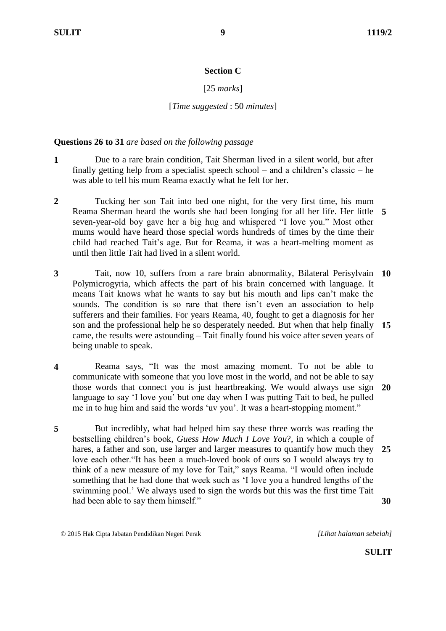#### **Section C**

## [25 *marks*]

#### [*Time suggested* : 50 *minutes*]

#### **Questions 26 to 31** *are based on the following passage*

- **1**  Due to a rare brain condition, Tait Sherman lived in a silent world, but after finally getting help from a specialist speech school – and a children's classic – he was able to tell his mum Reama exactly what he felt for her.
- **2** Tucking her son Tait into bed one night, for the very first time, his mum Reama Sherman heard the words she had been longing for all her life. Her little **5** seven-year-old boy gave her a big hug and whispered "I love you." Most other mums would have heard those special words hundreds of times by the time their child had reached Tait's age. But for Reama, it was a heart-melting moment as until then little Tait had lived in a silent world.
- **3** Tait, now 10, suffers from a rare brain abnormality, Bilateral Perisylvain **10** Polymicrogyria, which affects the part of his brain concerned with language. It means Tait knows what he wants to say but his mouth and lips can't make the sounds. The condition is so rare that there isn't even an association to help sufferers and their families. For years Reama, 40, fought to get a diagnosis for her son and the professional help he so desperately needed. But when that help finally **15** came, the results were astounding – Tait finally found his voice after seven years of being unable to speak.
- **4** Reama says, "It was the most amazing moment. To not be able to communicate with someone that you love most in the world, and not be able to say those words that connect you is just heartbreaking. We would always use sign **20** language to say 'I love you' but one day when I was putting Tait to bed, he pulled me in to hug him and said the words 'uv you'. It was a heart-stopping moment."
- **5** But incredibly, what had helped him say these three words was reading the bestselling children's book, *Guess How Much I Love You*?, in which a couple of hares, a father and son, use larger and larger measures to quantify how much they **25** love each other."It has been a much-loved book of ours so I would always try to think of a new measure of my love for Tait," says Reama. "I would often include something that he had done that week such as 'I love you a hundred lengths of the swimming pool.' We always used to sign the words but this was the first time Tait had been able to say them himself." **30**

© 2015 Hak Cipta Jabatan Pendidikan Negeri Perak *[Lihat halaman sebelah]*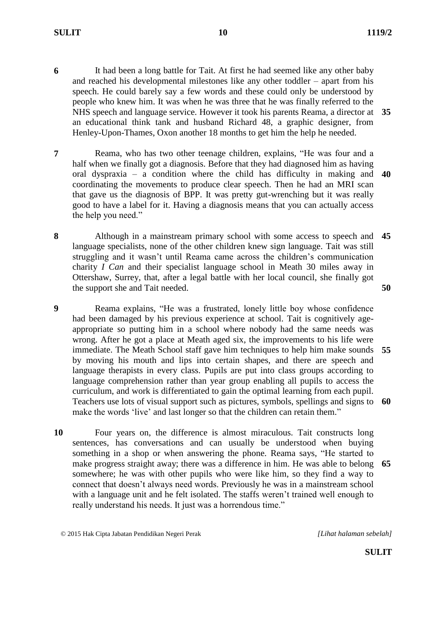- **6** It had been a long battle for Tait. At first he had seemed like any other baby and reached his developmental milestones like any other toddler – apart from his speech. He could barely say a few words and these could only be understood by people who knew him. It was when he was three that he was finally referred to the NHS speech and language service. However it took his parents Reama, a director at **35** an educational think tank and husband Richard 48, a graphic designer, from Henley-Upon-Thames, Oxon another 18 months to get him the help he needed.
- **7** Reama, who has two other teenage children, explains, "He was four and a half when we finally got a diagnosis. Before that they had diagnosed him as having oral dyspraxia – a condition where the child has difficulty in making and **40** coordinating the movements to produce clear speech. Then he had an MRI scan that gave us the diagnosis of BPP. It was pretty gut-wrenching but it was really good to have a label for it. Having a diagnosis means that you can actually access the help you need."
- **8** Although in a mainstream primary school with some access to speech and **45** language specialists, none of the other children knew sign language. Tait was still struggling and it wasn't until Reama came across the children's communication charity *I Can* and their specialist language school in Meath 30 miles away in Ottershaw, Surrey, that, after a legal battle with her local council, she finally got the support she and Tait needed. **50**
- **9** Reama explains, "He was a frustrated, lonely little boy whose confidence had been damaged by his previous experience at school. Tait is cognitively ageappropriate so putting him in a school where nobody had the same needs was wrong. After he got a place at Meath aged six, the improvements to his life were immediate. The Meath School staff gave him techniques to help him make sounds **55** by moving his mouth and lips into certain shapes, and there are speech and language therapists in every class. Pupils are put into class groups according to language comprehension rather than year group enabling all pupils to access the curriculum, and work is differentiated to gain the optimal learning from each pupil. Teachers use lots of visual support such as pictures, symbols, spellings and signs to **60** make the words 'live' and last longer so that the children can retain them."
- **10** Four years on, the difference is almost miraculous. Tait constructs long sentences, has conversations and can usually be understood when buying something in a shop or when answering the phone. Reama says, "He started to make progress straight away; there was a difference in him. He was able to belong **65** somewhere; he was with other pupils who were like him, so they find a way to connect that doesn't always need words. Previously he was in a mainstream school with a language unit and he felt isolated. The staffs weren't trained well enough to really understand his needs. It just was a horrendous time."

© 2015 Hak Cipta Jabatan Pendidikan Negeri Perak *[Lihat halaman sebelah]*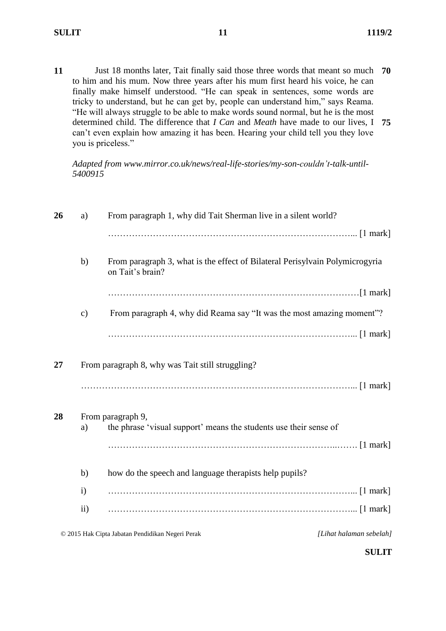**11** Just 18 months later, Tait finally said those three words that meant so much **70** to him and his mum. Now three years after his mum first heard his voice, he can finally make himself understood. "He can speak in sentences, some words are tricky to understand, but he can get by, people can understand him," says Reama. "He will always struggle to be able to make words sound normal, but he is the most determined child. The difference that *I Can* and *Meath* have made to our lives, I **75** can't even explain how amazing it has been. Hearing your child tell you they love you is priceless."

*Adapted from www.mirror.co.uk/news/real-life-stories/my-son-couldn't-talk-until-5400915*

| 26 | a)            | From paragraph 1, why did Tait Sherman live in a silent world?                                   |
|----|---------------|--------------------------------------------------------------------------------------------------|
|    |               |                                                                                                  |
|    | b)            | From paragraph 3, what is the effect of Bilateral Perisylvain Polymicrogyria<br>on Tait's brain? |
|    |               |                                                                                                  |
|    | $\mathbf{c})$ | From paragraph 4, why did Reama say "It was the most amazing moment"?                            |
|    |               |                                                                                                  |
| 27 |               | From paragraph 8, why was Tait still struggling?                                                 |
|    |               |                                                                                                  |
| 28 |               | From paragraph 9,                                                                                |
|    | a)            | the phrase 'visual support' means the students use their sense of                                |
|    |               |                                                                                                  |
|    | b)            | how do the speech and language therapists help pupils?                                           |
|    | $\mathbf{i}$  |                                                                                                  |
|    | $\rm ii)$     |                                                                                                  |
|    |               | [Lihat halaman sebelah]<br>© 2015 Hak Cipta Jabatan Pendidikan Negeri Perak                      |
|    |               | <b>SULIT</b>                                                                                     |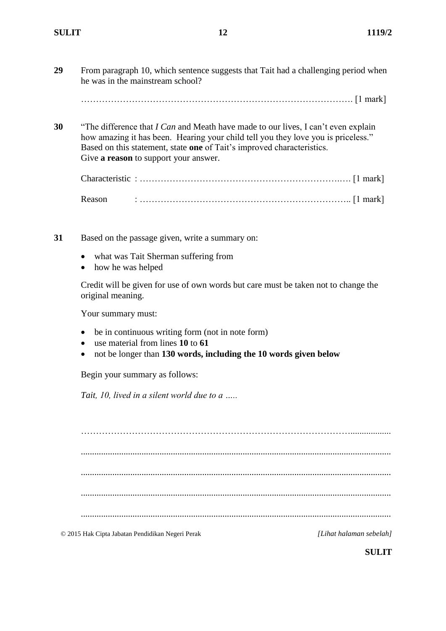**29** From paragraph 10, which sentence suggests that Tait had a challenging period when he was in the mainstream school?

………………………………………………………………………………. [1 mark]

**30** "The difference that *I Can* and Meath have made to our lives, I can't even explain how amazing it has been. Hearing your child tell you they love you is priceless." Based on this statement, state **one** of Tait's improved characteristics. Give **a reason** to support your answer.

| Reason |  |
|--------|--|

- **31** Based on the passage given, write a summary on:
	- what was Tait Sherman suffering from
	- how he was helped

Credit will be given for use of own words but care must be taken not to change the original meaning.

Your summary must:

- be in continuous writing form (not in note form)
- use material from lines **10** to **61**
- not be longer than **130 words, including the 10 words given below**

Begin your summary as follows:

*Tait, 10, lived in a silent world due to a …..*

……………………………………………………………………………….................. .......................................................................................................................................... .......................................................................................................................................... .......................................................................................................................................... ..........................................................................................................................................

© 2015 Hak Cipta Jabatan Pendidikan Negeri Perak *[Lihat halaman sebelah]*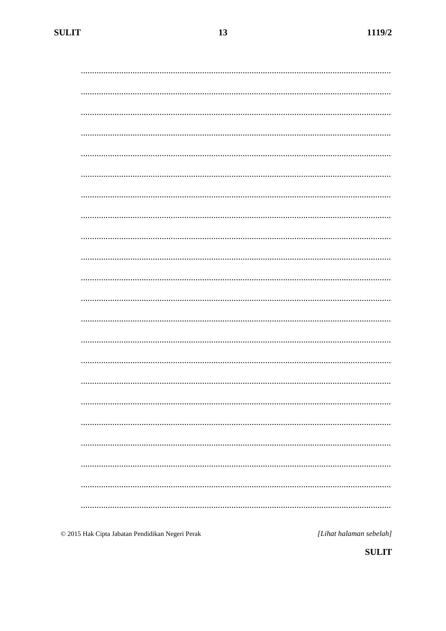[Lihat halaman sebelah] © 2015 Hak Cipta Jabatan Pendidikan Negeri Perak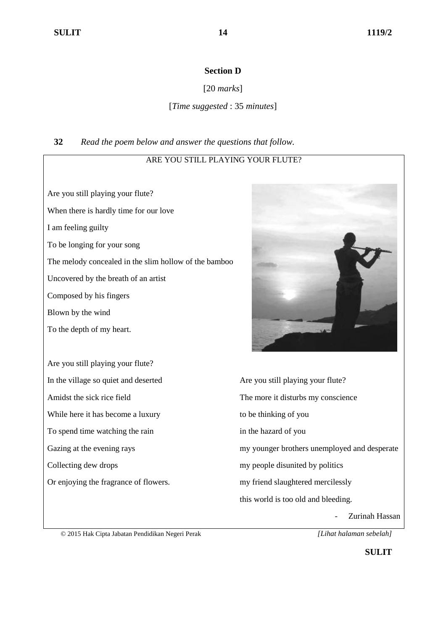## **Section D**

## [20 *marks*]

### [*Time suggested* : 35 *minutes*]

#### **32** *Read the poem below and answer the questions that follow.*

## ARE YOU STILL PLAYING YOUR FLUTE?

Are you still playing your flute? When there is hardly time for our love I am feeling guilty To be longing for your song The melody concealed in the slim hollow of the bamboo Uncovered by the breath of an artist Composed by his fingers Blown by the wind To the depth of my heart. Are you still playing your flute? In the village so quiet and deserted Amidst the sick rice field While here it has become a luxury To spend time watching the rain Gazing at the evening rays Collecting dew drops Or enjoying the fragrance of flowers.



Are you still playing your flute? The more it disturbs my conscience to be thinking of you in the hazard of you my younger brothers unemployed and desperate my people disunited by politics my friend slaughtered mercilessly this world is too old and bleeding.

Zurinah Hassan

© 2015 Hak Cipta Jabatan Pendidikan Negeri Perak *[Lihat halaman sebelah]*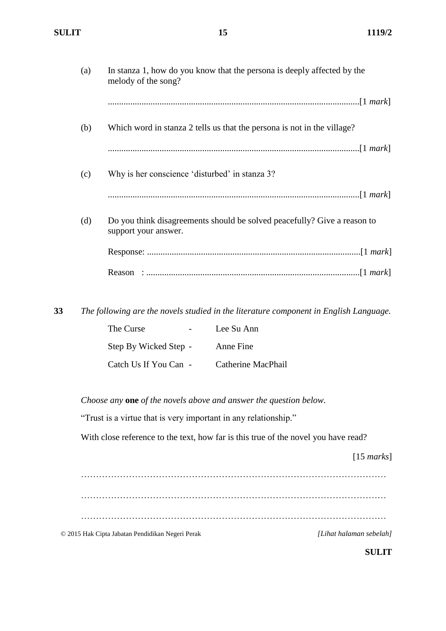| (a) | In stanza 1, how do you know that the persona is deeply affected by the<br>melody of the song?   |
|-----|--------------------------------------------------------------------------------------------------|
|     |                                                                                                  |
| (b) | Which word in stanza 2 tells us that the persona is not in the village?                          |
|     |                                                                                                  |
| (c) | Why is her conscience 'disturbed' in stanza 3?                                                   |
|     |                                                                                                  |
| (d) | Do you think disagreements should be solved peacefully? Give a reason to<br>support your answer. |
|     |                                                                                                  |
|     |                                                                                                  |

**33** *The following are the novels studied in the literature component in English Language.*

| The Curse             | Lee Su Ann         |
|-----------------------|--------------------|
| Step By Wicked Step - | Anne Fine          |
| Catch Us If You Can - | Catherine MacPhail |

*Choose any* **one** *of the novels above and answer the question below.*

"Trust is a virtue that is very important in any relationship."

With close reference to the text, how far is this true of the novel you have read?

© 2015 Hak Cipta Jabatan Pendidikan Negeri Perak *[Lihat halaman sebelah]* [15 *marks*] ………………………………………………………………………………………… ………………………………………………………………………………………… …………………………………………………………………………………………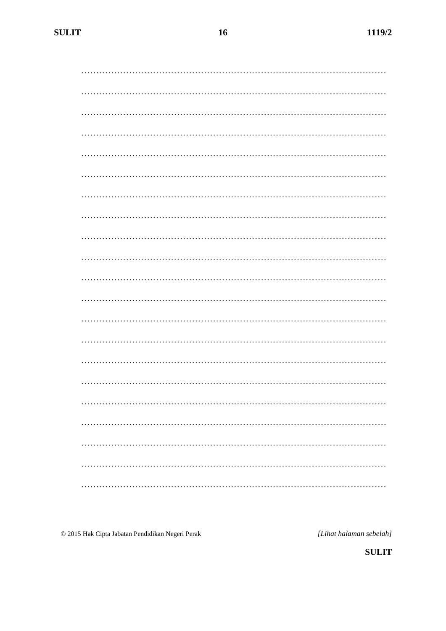© 2015 Hak Cipta Jabatan Pendidikan Negeri Perak

[Lihat halaman sebelah]

16